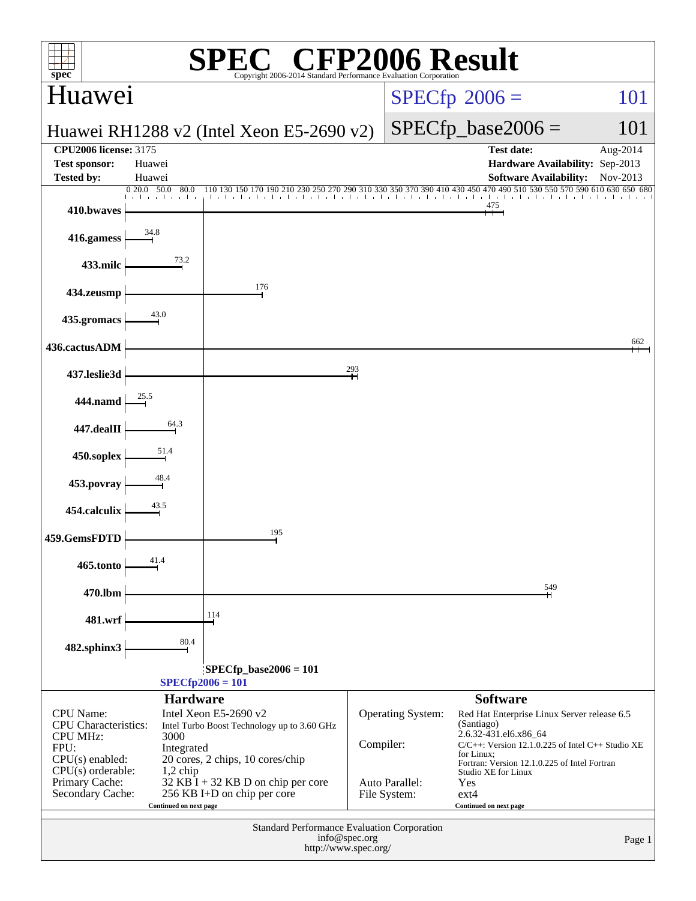| P2006 Result<br>$spec^*$<br>Copyright 2006-2014 Standard Performance Evaluation Corporation                                                                                                                                                                                                                                                                                       |                        |                                                                     |               |                                                            |                                                                                                                                                                                                                                                     |                      |  |  |  |
|-----------------------------------------------------------------------------------------------------------------------------------------------------------------------------------------------------------------------------------------------------------------------------------------------------------------------------------------------------------------------------------|------------------------|---------------------------------------------------------------------|---------------|------------------------------------------------------------|-----------------------------------------------------------------------------------------------------------------------------------------------------------------------------------------------------------------------------------------------------|----------------------|--|--|--|
| Huawei                                                                                                                                                                                                                                                                                                                                                                            |                        |                                                                     |               |                                                            | $SPECfp^{\circ}2006 =$                                                                                                                                                                                                                              | 101                  |  |  |  |
|                                                                                                                                                                                                                                                                                                                                                                                   |                        | Huawei RH $1288$ v2 (Intel Xeon E5-2690 v2)                         |               |                                                            | $SPECfp\_base2006 =$                                                                                                                                                                                                                                | 101                  |  |  |  |
| <b>CPU2006 license: 3175</b><br><b>Test sponsor:</b><br><b>Tested by:</b>                                                                                                                                                                                                                                                                                                         | Huawei<br>Huawei       |                                                                     |               |                                                            | <b>Test date:</b><br>Hardware Availability: Sep-2013<br><b>Software Availability:</b>                                                                                                                                                               | Aug-2014<br>Nov-2013 |  |  |  |
| 410.bwaves                                                                                                                                                                                                                                                                                                                                                                        | 020.050.0<br>80.0      | 150 170 190 210 230<br>250 270                                      | 290 310       |                                                            | 450 470 490 510 530 550 570<br>475                                                                                                                                                                                                                  | 590 610 630 650 680  |  |  |  |
| 416.gamess                                                                                                                                                                                                                                                                                                                                                                        | 34.8                   |                                                                     |               |                                                            |                                                                                                                                                                                                                                                     |                      |  |  |  |
| 433.milc                                                                                                                                                                                                                                                                                                                                                                          | 73.2                   |                                                                     |               |                                                            |                                                                                                                                                                                                                                                     |                      |  |  |  |
| 434.zeusmp                                                                                                                                                                                                                                                                                                                                                                        |                        | 176                                                                 |               |                                                            |                                                                                                                                                                                                                                                     |                      |  |  |  |
| 435.gromacs                                                                                                                                                                                                                                                                                                                                                                       | 43.0                   |                                                                     |               |                                                            |                                                                                                                                                                                                                                                     |                      |  |  |  |
| 436.cactusADM                                                                                                                                                                                                                                                                                                                                                                     |                        |                                                                     |               |                                                            |                                                                                                                                                                                                                                                     | 662                  |  |  |  |
| 437.leslie3d                                                                                                                                                                                                                                                                                                                                                                      |                        |                                                                     | 293           |                                                            |                                                                                                                                                                                                                                                     |                      |  |  |  |
| 444.namd                                                                                                                                                                                                                                                                                                                                                                          |                        |                                                                     |               |                                                            |                                                                                                                                                                                                                                                     |                      |  |  |  |
| 447.dealII                                                                                                                                                                                                                                                                                                                                                                        | 64.3                   |                                                                     |               |                                                            |                                                                                                                                                                                                                                                     |                      |  |  |  |
| 450.soplex                                                                                                                                                                                                                                                                                                                                                                        | 51.4<br>48.4           |                                                                     |               |                                                            |                                                                                                                                                                                                                                                     |                      |  |  |  |
| 453.povray                                                                                                                                                                                                                                                                                                                                                                        | 43.5                   |                                                                     |               |                                                            |                                                                                                                                                                                                                                                     |                      |  |  |  |
| 454.calculix                                                                                                                                                                                                                                                                                                                                                                      |                        | 195                                                                 |               |                                                            |                                                                                                                                                                                                                                                     |                      |  |  |  |
| 459.GemsFDTD<br>465.tonto                                                                                                                                                                                                                                                                                                                                                         | 41.4                   |                                                                     |               |                                                            |                                                                                                                                                                                                                                                     |                      |  |  |  |
| 470.lbm                                                                                                                                                                                                                                                                                                                                                                           |                        |                                                                     |               |                                                            | 549                                                                                                                                                                                                                                                 |                      |  |  |  |
| 481.wrf                                                                                                                                                                                                                                                                                                                                                                           |                        | 114                                                                 |               |                                                            |                                                                                                                                                                                                                                                     |                      |  |  |  |
| 482.sphinx3                                                                                                                                                                                                                                                                                                                                                                       | 80.4                   |                                                                     |               |                                                            |                                                                                                                                                                                                                                                     |                      |  |  |  |
|                                                                                                                                                                                                                                                                                                                                                                                   |                        | $SPECfp\_base2006 = 101$                                            |               |                                                            |                                                                                                                                                                                                                                                     |                      |  |  |  |
|                                                                                                                                                                                                                                                                                                                                                                                   | <b>Hardware</b>        | $SPECfp2006 = 101$                                                  |               |                                                            | <b>Software</b>                                                                                                                                                                                                                                     |                      |  |  |  |
| Intel Xeon E5-2690 v2<br><b>CPU</b> Name:<br><b>CPU</b> Characteristics:<br>Intel Turbo Boost Technology up to 3.60 GHz<br><b>CPU MHz:</b><br>3000<br>FPU:<br>Integrated<br>$CPU(s)$ enabled:<br>20 cores, 2 chips, 10 cores/chip<br>$CPU(s)$ orderable:<br>$1,2$ chip<br>Primary Cache:<br>32 KB I + 32 KB D on chip per core<br>256 KB I+D on chip per core<br>Secondary Cache: |                        |                                                                     | Compiler:     | <b>Operating System:</b><br>Auto Parallel:<br>File System: | Red Hat Enterprise Linux Server release 6.5<br>(Santiago)<br>2.6.32-431.el6.x86_64<br>$C/C++$ : Version 12.1.0.225 of Intel $C++$ Studio XE<br>for Linux;<br>Fortran: Version 12.1.0.225 of Intel Fortran<br>Studio XE for Linux<br>Yes<br>$ext{4}$ |                      |  |  |  |
|                                                                                                                                                                                                                                                                                                                                                                                   | Continued on next page |                                                                     |               |                                                            | Continued on next page                                                                                                                                                                                                                              |                      |  |  |  |
|                                                                                                                                                                                                                                                                                                                                                                                   |                        | Standard Performance Evaluation Corporation<br>http://www.spec.org/ | info@spec.org |                                                            |                                                                                                                                                                                                                                                     | Page 1               |  |  |  |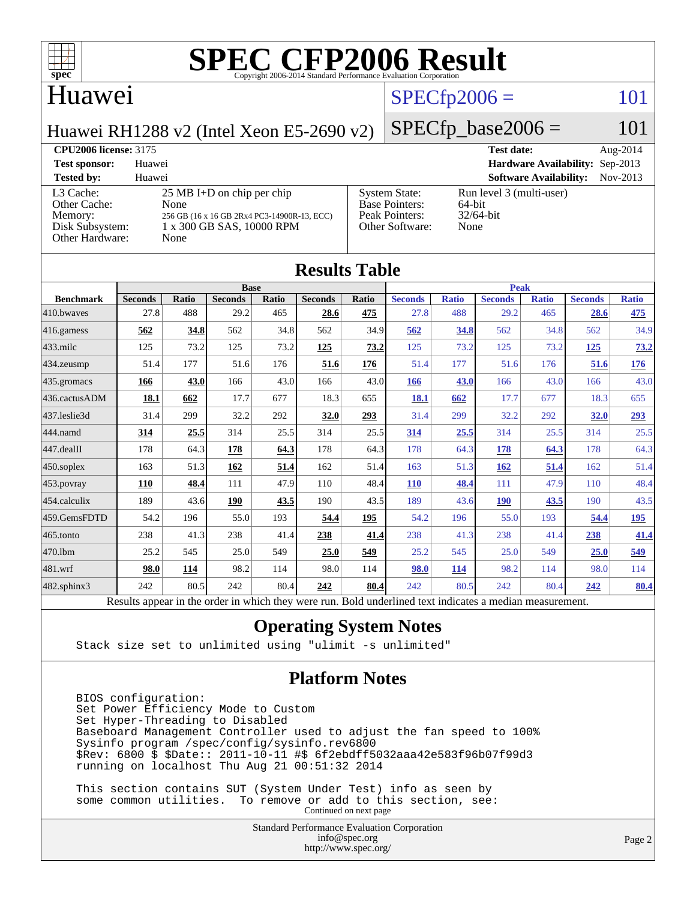

### Huawei

## $SPECfp2006 = 101$  $SPECfp2006 = 101$

Huawei RH1288 v2 (Intel Xeon E5-2690 v2)

 $SPECfp\_base2006 = 101$ 

### **[CPU2006 license:](http://www.spec.org/auto/cpu2006/Docs/result-fields.html#CPU2006license)** 3175 **[Test date:](http://www.spec.org/auto/cpu2006/Docs/result-fields.html#Testdate)** Aug-2014 **[Test sponsor:](http://www.spec.org/auto/cpu2006/Docs/result-fields.html#Testsponsor)** Huawei **[Hardware Availability:](http://www.spec.org/auto/cpu2006/Docs/result-fields.html#HardwareAvailability)** Sep-2013 **[Tested by:](http://www.spec.org/auto/cpu2006/Docs/result-fields.html#Testedby)** Huawei **[Software Availability:](http://www.spec.org/auto/cpu2006/Docs/result-fields.html#SoftwareAvailability)** Nov-2013 [L3 Cache:](http://www.spec.org/auto/cpu2006/Docs/result-fields.html#L3Cache) 25 MB I+D on chip per chip<br>Other Cache: None [Other Cache:](http://www.spec.org/auto/cpu2006/Docs/result-fields.html#OtherCache) [Memory:](http://www.spec.org/auto/cpu2006/Docs/result-fields.html#Memory) 256 GB (16 x 16 GB 2Rx4 PC3-14900R-13, ECC) [Disk Subsystem:](http://www.spec.org/auto/cpu2006/Docs/result-fields.html#DiskSubsystem) 1 x 300 GB SAS, 10000 RPM [Other Hardware:](http://www.spec.org/auto/cpu2006/Docs/result-fields.html#OtherHardware) None [System State:](http://www.spec.org/auto/cpu2006/Docs/result-fields.html#SystemState) Run level 3 (multi-user)<br>Base Pointers: 64-bit [Base Pointers:](http://www.spec.org/auto/cpu2006/Docs/result-fields.html#BasePointers) [Peak Pointers:](http://www.spec.org/auto/cpu2006/Docs/result-fields.html#PeakPointers) 32/64-bit [Other Software:](http://www.spec.org/auto/cpu2006/Docs/result-fields.html#OtherSoftware) None

| <b>Results Table</b> |                                                                                                          |              |                |       |                |       |                |              |                |              |                |              |
|----------------------|----------------------------------------------------------------------------------------------------------|--------------|----------------|-------|----------------|-------|----------------|--------------|----------------|--------------|----------------|--------------|
|                      |                                                                                                          |              | <b>Base</b>    |       |                |       |                |              | <b>Peak</b>    |              |                |              |
| <b>Benchmark</b>     | <b>Seconds</b>                                                                                           | <b>Ratio</b> | <b>Seconds</b> | Ratio | <b>Seconds</b> | Ratio | <b>Seconds</b> | <b>Ratio</b> | <b>Seconds</b> | <b>Ratio</b> | <b>Seconds</b> | <b>Ratio</b> |
| 410.bwayes           | 27.8                                                                                                     | 488          | 29.2           | 465   | 28.6           | 475   | 27.8           | 488          | 29.2           | 465          | 28.6           | 475          |
| 416.gamess           | 562                                                                                                      | 34.8         | 562            | 34.8  | 562            | 34.9  | 562            | 34.8         | 562            | 34.8         | 562            | 34.9         |
| $433$ .milc          | 125                                                                                                      | 73.2         | 125            | 73.2  | 125            | 73.2  | 125            | 73.2         | 125            | 73.2         | <u>125</u>     | <u>73.2</u>  |
| 434.zeusmp           | 51.4                                                                                                     | 177          | 51.6           | 176   | 51.6           | 176   | 51.4           | 177          | 51.6           | 176          | 51.6           | <u>176</u>   |
| 435 gromacs          | 166                                                                                                      | 43.0         | 166            | 43.0  | 166            | 43.0  | <b>166</b>     | 43.0         | 166            | 43.0         | 166            | 43.0         |
| 436.cactusADM        | 18.1                                                                                                     | 662          | 17.7           | 677   | 18.3           | 655   | 18.1           | 662          | 17.7           | 677          | 18.3           | 655          |
| 437.leslie3d         | 31.4                                                                                                     | 299          | 32.2           | 292   | 32.0           | 293   | 31.4           | 299          | 32.2           | 292          | <b>32.0</b>    | 293          |
| 444.namd             | 314                                                                                                      | 25.5         | 314            | 25.5  | 314            | 25.5  | 314            | 25.5         | 314            | 25.5         | 314            | 25.5         |
| 447.dealII           | 178                                                                                                      | 64.3         | 178            | 64.3  | 178            | 64.3  | 178            | 64.3         | 178            | 64.3         | 178            | 64.3         |
| 450.soplex           | 163                                                                                                      | 51.3         | 162            | 51.4  | 162            | 51.4  | 163            | 51.3         | 162            | 51.4         | 162            | 51.4         |
| 453.povray           | 110                                                                                                      | 48.4         | 111            | 47.9  | 110            | 48.4  | 110            | 48.4         | 111            | 47.9         | 110            | 48.4         |
| 454.calculix         | 189                                                                                                      | 43.6         | 190            | 43.5  | 190            | 43.5  | 189            | 43.6         | <b>190</b>     | 43.5         | 190            | 43.5         |
| 459.GemsFDTD         | 54.2                                                                                                     | 196          | 55.0           | 193   | 54.4           | 195   | 54.2           | 196          | 55.0           | 193          | 54.4           | 195          |
| 465.tonto            | 238                                                                                                      | 41.3         | 238            | 41.4  | 238            | 41.4  | 238            | 41.3         | 238            | 41.4         | 238            | 41.4         |
| 470.1bm              | 25.2                                                                                                     | 545          | 25.0           | 549   | 25.0           | 549   | 25.2           | 545          | 25.0           | 549          | 25.0           | 549          |
| 481.wrf              | 98.0                                                                                                     | 114          | 98.2           | 114   | 98.0           | 114   | 98.0           | 114          | 98.2           | 114          | 98.0           | 114          |
| $482$ .sphinx $3$    | 242                                                                                                      | 80.5         | 242            | 80.4  | 242            | 80.4  | 242            | 80.5         | 242            | 80.4         | 242            | <b>80.4</b>  |
|                      | Results appear in the order in which they were run. Bold underlined text indicates a median measurement. |              |                |       |                |       |                |              |                |              |                |              |

### **[Operating System Notes](http://www.spec.org/auto/cpu2006/Docs/result-fields.html#OperatingSystemNotes)**

Stack size set to unlimited using "ulimit -s unlimited"

### **[Platform Notes](http://www.spec.org/auto/cpu2006/Docs/result-fields.html#PlatformNotes)**

 BIOS configuration: Set Power Efficiency Mode to Custom Set Hyper-Threading to Disabled Baseboard Management Controller used to adjust the fan speed to 100% Sysinfo program /spec/config/sysinfo.rev6800 \$Rev: 6800 \$ \$Date:: 2011-10-11 #\$ 6f2ebdff5032aaa42e583f96b07f99d3 running on localhost Thu Aug 21 00:51:32 2014

 This section contains SUT (System Under Test) info as seen by some common utilities. To remove or add to this section, see: Continued on next page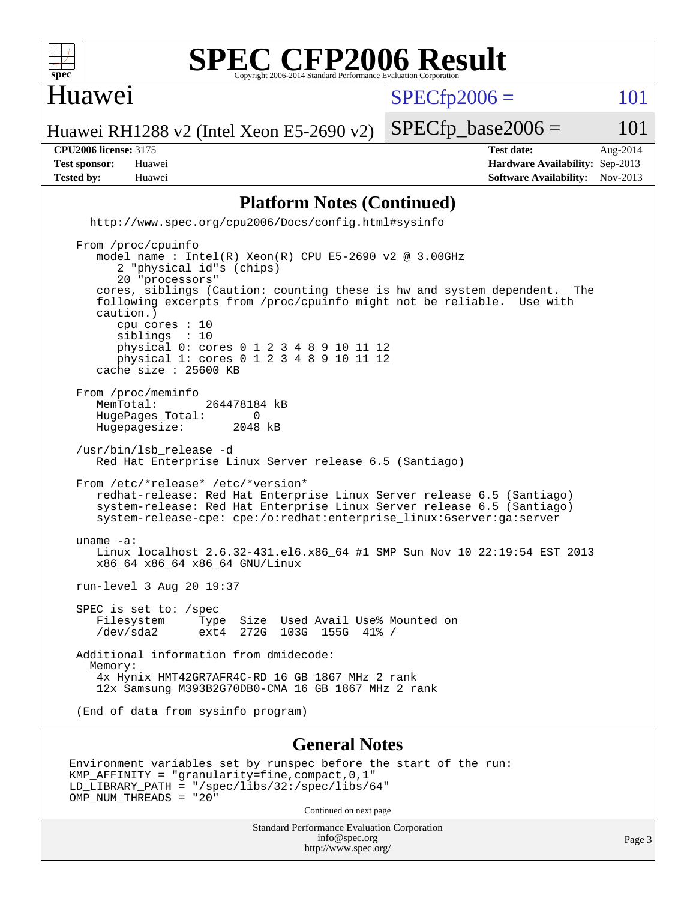

### Huawei

 $SPECTp2006 = 101$ 

Huawei RH1288 v2 (Intel Xeon E5-2690 v2)

**[CPU2006 license:](http://www.spec.org/auto/cpu2006/Docs/result-fields.html#CPU2006license)** 3175 **[Test date:](http://www.spec.org/auto/cpu2006/Docs/result-fields.html#Testdate)** Aug-2014 **[Test sponsor:](http://www.spec.org/auto/cpu2006/Docs/result-fields.html#Testsponsor)** Huawei **[Hardware Availability:](http://www.spec.org/auto/cpu2006/Docs/result-fields.html#HardwareAvailability)** Sep-2013 **[Tested by:](http://www.spec.org/auto/cpu2006/Docs/result-fields.html#Testedby)** Huawei **[Software Availability:](http://www.spec.org/auto/cpu2006/Docs/result-fields.html#SoftwareAvailability)** Nov-2013

 $SPECTp\_base2006 = 101$ 

### **[Platform Notes \(Continued\)](http://www.spec.org/auto/cpu2006/Docs/result-fields.html#PlatformNotes)**

 <http://www.spec.org/cpu2006/Docs/config.html#sysinfo> From /proc/cpuinfo model name : Intel(R) Xeon(R) CPU E5-2690 v2 @ 3.00GHz

 2 "physical id"s (chips) 20 "processors" cores, siblings (Caution: counting these is hw and system dependent. The following excerpts from /proc/cpuinfo might not be reliable. Use with caution.) cpu cores : 10 siblings : 10 physical 0: cores 0 1 2 3 4 8 9 10 11 12 physical 1: cores 0 1 2 3 4 8 9 10 11 12 cache size : 25600 KB From /proc/meminfo<br>MemTotal: 264478184 kB HugePages\_Total: 0<br>Hugepagesize: 2048 kB Hugepagesize: /usr/bin/lsb\_release -d Red Hat Enterprise Linux Server release 6.5 (Santiago) From /etc/\*release\* /etc/\*version\* redhat-release: Red Hat Enterprise Linux Server release 6.5 (Santiago) system-release: Red Hat Enterprise Linux Server release 6.5 (Santiago) system-release-cpe: cpe:/o:redhat:enterprise\_linux:6server:ga:server uname -a: Linux localhost 2.6.32-431.el6.x86\_64 #1 SMP Sun Nov 10 22:19:54 EST 2013 x86\_64 x86\_64 x86\_64 GNU/Linux run-level 3 Aug 20 19:37 SPEC is set to: /spec Filesystem Type Size Used Avail Use% Mounted on /dev/sda2 ext4 272G 103G 155G 41% / Additional information from dmidecode: Memory: 4x Hynix HMT42GR7AFR4C-RD 16 GB 1867 MHz 2 rank 12x Samsung M393B2G70DB0-CMA 16 GB 1867 MHz 2 rank

(End of data from sysinfo program)

### **[General Notes](http://www.spec.org/auto/cpu2006/Docs/result-fields.html#GeneralNotes)**

```
Environment variables set by runspec before the start of the run:
KMP_AFFINITY = "granularity=fine,compact,0,1"
LD_LIBRARY_PATH = "/spec/libs/32:/spec/libs/64"
OMP_NUM_THREADS = "20"
                                    Continued on next page
```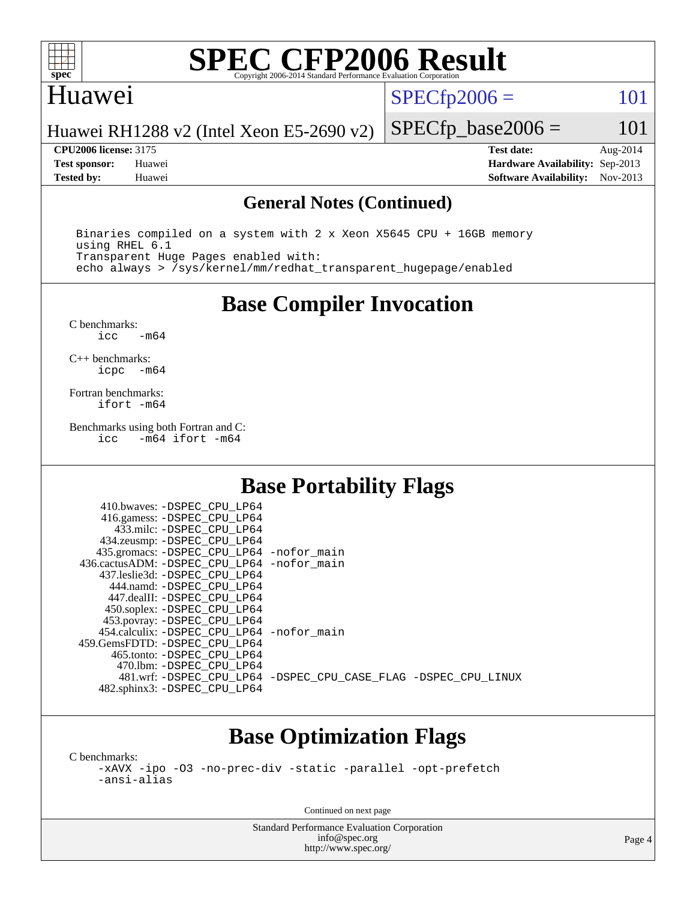

## Huawei

 $SPECTp2006 = 101$ 

Huawei RH1288 v2 (Intel Xeon E5-2690 v2)

**[CPU2006 license:](http://www.spec.org/auto/cpu2006/Docs/result-fields.html#CPU2006license)** 3175 **[Test date:](http://www.spec.org/auto/cpu2006/Docs/result-fields.html#Testdate)** Aug-2014 **[Test sponsor:](http://www.spec.org/auto/cpu2006/Docs/result-fields.html#Testsponsor)** Huawei **[Hardware Availability:](http://www.spec.org/auto/cpu2006/Docs/result-fields.html#HardwareAvailability)** Sep-2013 **[Tested by:](http://www.spec.org/auto/cpu2006/Docs/result-fields.html#Testedby)** Huawei **[Software Availability:](http://www.spec.org/auto/cpu2006/Docs/result-fields.html#SoftwareAvailability)** Nov-2013

 $SPECTp\_base2006 = 101$ 

### **[General Notes \(Continued\)](http://www.spec.org/auto/cpu2006/Docs/result-fields.html#GeneralNotes)**

 Binaries compiled on a system with 2 x Xeon X5645 CPU + 16GB memory using RHEL 6.1 Transparent Huge Pages enabled with: echo always > /sys/kernel/mm/redhat\_transparent\_hugepage/enabled

**[Base Compiler Invocation](http://www.spec.org/auto/cpu2006/Docs/result-fields.html#BaseCompilerInvocation)**

[C benchmarks](http://www.spec.org/auto/cpu2006/Docs/result-fields.html#Cbenchmarks):  $-m64$ 

[C++ benchmarks:](http://www.spec.org/auto/cpu2006/Docs/result-fields.html#CXXbenchmarks) [icpc -m64](http://www.spec.org/cpu2006/results/res2014q3/cpu2006-20140823-30996.flags.html#user_CXXbase_intel_icpc_64bit_bedb90c1146cab66620883ef4f41a67e)

[Fortran benchmarks](http://www.spec.org/auto/cpu2006/Docs/result-fields.html#Fortranbenchmarks): [ifort -m64](http://www.spec.org/cpu2006/results/res2014q3/cpu2006-20140823-30996.flags.html#user_FCbase_intel_ifort_64bit_ee9d0fb25645d0210d97eb0527dcc06e)

[Benchmarks using both Fortran and C](http://www.spec.org/auto/cpu2006/Docs/result-fields.html#BenchmarksusingbothFortranandC): [icc -m64](http://www.spec.org/cpu2006/results/res2014q3/cpu2006-20140823-30996.flags.html#user_CC_FCbase_intel_icc_64bit_0b7121f5ab7cfabee23d88897260401c) [ifort -m64](http://www.spec.org/cpu2006/results/res2014q3/cpu2006-20140823-30996.flags.html#user_CC_FCbase_intel_ifort_64bit_ee9d0fb25645d0210d97eb0527dcc06e)

### **[Base Portability Flags](http://www.spec.org/auto/cpu2006/Docs/result-fields.html#BasePortabilityFlags)**

| 410.bwaves: -DSPEC CPU LP64                |                                                                |
|--------------------------------------------|----------------------------------------------------------------|
| 416.gamess: -DSPEC_CPU_LP64                |                                                                |
| 433.milc: -DSPEC CPU LP64                  |                                                                |
| 434.zeusmp: -DSPEC_CPU_LP64                |                                                                |
| 435.gromacs: -DSPEC_CPU_LP64 -nofor_main   |                                                                |
| 436.cactusADM: -DSPEC CPU LP64 -nofor main |                                                                |
| 437.leslie3d: -DSPEC CPU LP64              |                                                                |
| 444.namd: -DSPEC CPU LP64                  |                                                                |
| 447.dealII: -DSPEC_CPU LP64                |                                                                |
| 450.soplex: -DSPEC_CPU_LP64                |                                                                |
| 453.povray: - DSPEC_CPU_LP64               |                                                                |
| 454.calculix: -DSPEC CPU LP64 -nofor main  |                                                                |
| 459.GemsFDTD: - DSPEC_CPU LP64             |                                                                |
| 465.tonto: -DSPEC CPU LP64                 |                                                                |
| 470.1bm: - DSPEC CPU LP64                  |                                                                |
|                                            | 481.wrf: -DSPEC CPU_LP64 -DSPEC_CPU_CASE_FLAG -DSPEC_CPU_LINUX |
| 482.sphinx3: -DSPEC_CPU_LP64               |                                                                |

### **[Base Optimization Flags](http://www.spec.org/auto/cpu2006/Docs/result-fields.html#BaseOptimizationFlags)**

[C benchmarks](http://www.spec.org/auto/cpu2006/Docs/result-fields.html#Cbenchmarks):

[-xAVX](http://www.spec.org/cpu2006/results/res2014q3/cpu2006-20140823-30996.flags.html#user_CCbase_f-xAVX) [-ipo](http://www.spec.org/cpu2006/results/res2014q3/cpu2006-20140823-30996.flags.html#user_CCbase_f-ipo) [-O3](http://www.spec.org/cpu2006/results/res2014q3/cpu2006-20140823-30996.flags.html#user_CCbase_f-O3) [-no-prec-div](http://www.spec.org/cpu2006/results/res2014q3/cpu2006-20140823-30996.flags.html#user_CCbase_f-no-prec-div) [-static](http://www.spec.org/cpu2006/results/res2014q3/cpu2006-20140823-30996.flags.html#user_CCbase_f-static) [-parallel](http://www.spec.org/cpu2006/results/res2014q3/cpu2006-20140823-30996.flags.html#user_CCbase_f-parallel) [-opt-prefetch](http://www.spec.org/cpu2006/results/res2014q3/cpu2006-20140823-30996.flags.html#user_CCbase_f-opt-prefetch) [-ansi-alias](http://www.spec.org/cpu2006/results/res2014q3/cpu2006-20140823-30996.flags.html#user_CCbase_f-ansi-alias)

Continued on next page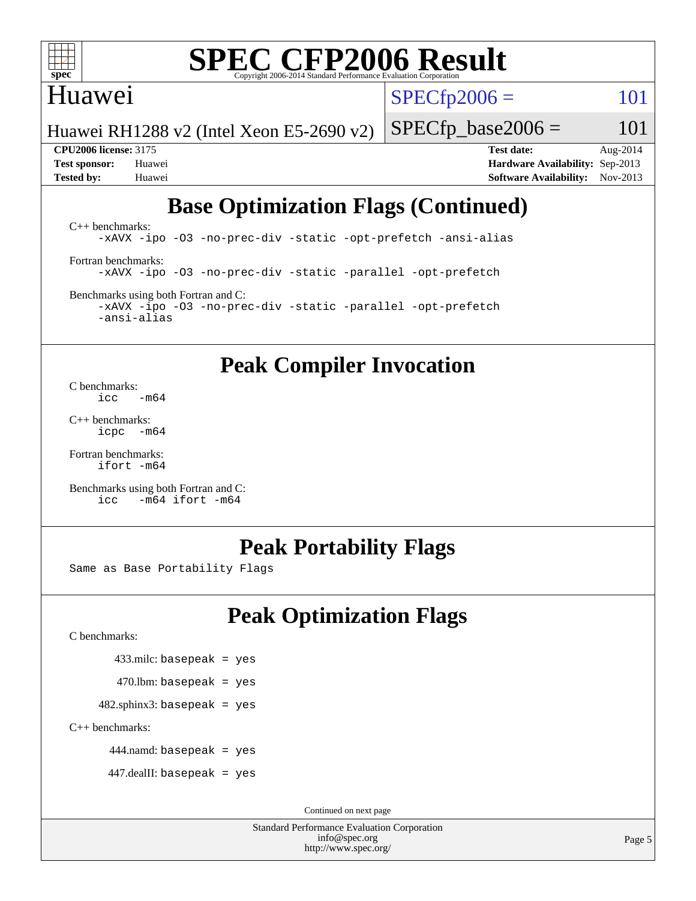

## Huawei

 $SPECTp2006 = 101$ 

Huawei RH1288 v2 (Intel Xeon E5-2690 v2)

**[CPU2006 license:](http://www.spec.org/auto/cpu2006/Docs/result-fields.html#CPU2006license)** 3175 **[Test date:](http://www.spec.org/auto/cpu2006/Docs/result-fields.html#Testdate)** Aug-2014 **[Test sponsor:](http://www.spec.org/auto/cpu2006/Docs/result-fields.html#Testsponsor)** Huawei **[Hardware Availability:](http://www.spec.org/auto/cpu2006/Docs/result-fields.html#HardwareAvailability)** Sep-2013 **[Tested by:](http://www.spec.org/auto/cpu2006/Docs/result-fields.html#Testedby)** Huawei **[Software Availability:](http://www.spec.org/auto/cpu2006/Docs/result-fields.html#SoftwareAvailability)** Nov-2013

 $SPECTp\_base2006 = 101$ 

## **[Base Optimization Flags \(Continued\)](http://www.spec.org/auto/cpu2006/Docs/result-fields.html#BaseOptimizationFlags)**

[C++ benchmarks:](http://www.spec.org/auto/cpu2006/Docs/result-fields.html#CXXbenchmarks) [-xAVX](http://www.spec.org/cpu2006/results/res2014q3/cpu2006-20140823-30996.flags.html#user_CXXbase_f-xAVX) [-ipo](http://www.spec.org/cpu2006/results/res2014q3/cpu2006-20140823-30996.flags.html#user_CXXbase_f-ipo) [-O3](http://www.spec.org/cpu2006/results/res2014q3/cpu2006-20140823-30996.flags.html#user_CXXbase_f-O3) [-no-prec-div](http://www.spec.org/cpu2006/results/res2014q3/cpu2006-20140823-30996.flags.html#user_CXXbase_f-no-prec-div) [-static](http://www.spec.org/cpu2006/results/res2014q3/cpu2006-20140823-30996.flags.html#user_CXXbase_f-static) [-opt-prefetch](http://www.spec.org/cpu2006/results/res2014q3/cpu2006-20140823-30996.flags.html#user_CXXbase_f-opt-prefetch) [-ansi-alias](http://www.spec.org/cpu2006/results/res2014q3/cpu2006-20140823-30996.flags.html#user_CXXbase_f-ansi-alias) [Fortran benchmarks](http://www.spec.org/auto/cpu2006/Docs/result-fields.html#Fortranbenchmarks): [-xAVX](http://www.spec.org/cpu2006/results/res2014q3/cpu2006-20140823-30996.flags.html#user_FCbase_f-xAVX) [-ipo](http://www.spec.org/cpu2006/results/res2014q3/cpu2006-20140823-30996.flags.html#user_FCbase_f-ipo) [-O3](http://www.spec.org/cpu2006/results/res2014q3/cpu2006-20140823-30996.flags.html#user_FCbase_f-O3) [-no-prec-div](http://www.spec.org/cpu2006/results/res2014q3/cpu2006-20140823-30996.flags.html#user_FCbase_f-no-prec-div) [-static](http://www.spec.org/cpu2006/results/res2014q3/cpu2006-20140823-30996.flags.html#user_FCbase_f-static) [-parallel](http://www.spec.org/cpu2006/results/res2014q3/cpu2006-20140823-30996.flags.html#user_FCbase_f-parallel) [-opt-prefetch](http://www.spec.org/cpu2006/results/res2014q3/cpu2006-20140823-30996.flags.html#user_FCbase_f-opt-prefetch) [Benchmarks using both Fortran and C](http://www.spec.org/auto/cpu2006/Docs/result-fields.html#BenchmarksusingbothFortranandC): [-xAVX](http://www.spec.org/cpu2006/results/res2014q3/cpu2006-20140823-30996.flags.html#user_CC_FCbase_f-xAVX) [-ipo](http://www.spec.org/cpu2006/results/res2014q3/cpu2006-20140823-30996.flags.html#user_CC_FCbase_f-ipo) [-O3](http://www.spec.org/cpu2006/results/res2014q3/cpu2006-20140823-30996.flags.html#user_CC_FCbase_f-O3) [-no-prec-div](http://www.spec.org/cpu2006/results/res2014q3/cpu2006-20140823-30996.flags.html#user_CC_FCbase_f-no-prec-div) [-static](http://www.spec.org/cpu2006/results/res2014q3/cpu2006-20140823-30996.flags.html#user_CC_FCbase_f-static) [-parallel](http://www.spec.org/cpu2006/results/res2014q3/cpu2006-20140823-30996.flags.html#user_CC_FCbase_f-parallel) [-opt-prefetch](http://www.spec.org/cpu2006/results/res2014q3/cpu2006-20140823-30996.flags.html#user_CC_FCbase_f-opt-prefetch)

**[Peak Compiler Invocation](http://www.spec.org/auto/cpu2006/Docs/result-fields.html#PeakCompilerInvocation)**

[C benchmarks](http://www.spec.org/auto/cpu2006/Docs/result-fields.html#Cbenchmarks):  $\text{icc}$   $-\text{m64}$ 

[-ansi-alias](http://www.spec.org/cpu2006/results/res2014q3/cpu2006-20140823-30996.flags.html#user_CC_FCbase_f-ansi-alias)

[C++ benchmarks:](http://www.spec.org/auto/cpu2006/Docs/result-fields.html#CXXbenchmarks) [icpc -m64](http://www.spec.org/cpu2006/results/res2014q3/cpu2006-20140823-30996.flags.html#user_CXXpeak_intel_icpc_64bit_bedb90c1146cab66620883ef4f41a67e)

[Fortran benchmarks](http://www.spec.org/auto/cpu2006/Docs/result-fields.html#Fortranbenchmarks): [ifort -m64](http://www.spec.org/cpu2006/results/res2014q3/cpu2006-20140823-30996.flags.html#user_FCpeak_intel_ifort_64bit_ee9d0fb25645d0210d97eb0527dcc06e)

[Benchmarks using both Fortran and C](http://www.spec.org/auto/cpu2006/Docs/result-fields.html#BenchmarksusingbothFortranandC): [icc -m64](http://www.spec.org/cpu2006/results/res2014q3/cpu2006-20140823-30996.flags.html#user_CC_FCpeak_intel_icc_64bit_0b7121f5ab7cfabee23d88897260401c) [ifort -m64](http://www.spec.org/cpu2006/results/res2014q3/cpu2006-20140823-30996.flags.html#user_CC_FCpeak_intel_ifort_64bit_ee9d0fb25645d0210d97eb0527dcc06e)

### **[Peak Portability Flags](http://www.spec.org/auto/cpu2006/Docs/result-fields.html#PeakPortabilityFlags)**

Same as Base Portability Flags

## **[Peak Optimization Flags](http://www.spec.org/auto/cpu2006/Docs/result-fields.html#PeakOptimizationFlags)**

[C benchmarks](http://www.spec.org/auto/cpu2006/Docs/result-fields.html#Cbenchmarks):

433.milc: basepeak = yes

 $470$ .lbm: basepeak = yes

 $482$ .sphinx3: basepeak = yes

[C++ benchmarks:](http://www.spec.org/auto/cpu2006/Docs/result-fields.html#CXXbenchmarks)

444.namd: basepeak = yes

447.dealII: basepeak = yes

Continued on next page